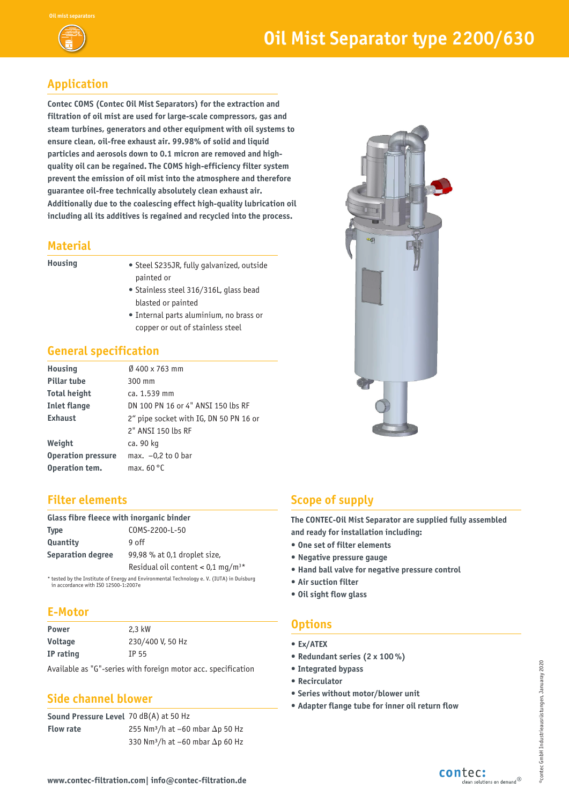

# **Application**

**Contec COMS (Contec Oil Mist Separators) for the extraction and filtration of oil mist are used for large-scale compressors, gas and steam turbines, generators and other equipment with oil systems to ensure clean, oil-free exhaust air. 99.98% of solid and liquid particles and aerosols down to 0.1 micron are removed and highquality oil can be regained. The COMS high-efficiency filter system prevent the emission of oil mist into the atmosphere and therefore guarantee oil-free technically absolutely clean exhaust air. Additionally due to the coalescing effect high-quality lubrication oil including all its additives is regained and recycled into the process.**

#### **Material**

- **Housing** Steel S235JR, fully galvanized, outside painted or
	- Stainless steel 316/316L, glass bead blasted or painted
	- Internal parts aluminium, no brass or copper or out of stainless steel

## **General specification**

| <b>Housing</b>            | $\varnothing$ 500 x 910 mm                     |
|---------------------------|------------------------------------------------|
| <b>Pillar tube</b>        | 300 mm                                         |
| <b>Dimensions</b>         | $1.200 \times 532 \times 1.250$ mm (L x B x H) |
| <b>Inlet flange</b>       | DN 100 PN 16 or 4" ANSI 150 lbs RF             |
| <b>Exhaust</b>            | 3" pipe socket with IG, DN 80 PN 16 or         |
|                           | 3-4" ANSI 150 lbs RF                           |
| Weight                    | ca. 230 kg                                     |
| <b>Operation pressure</b> | max. $-0.2$ to 0 bar                           |
| Operation tem.            | max. $60^{\circ}$ C                            |

#### **Filter elements**

| Glass fibre fleece with inorganic binder |                                                 |  |  |  |
|------------------------------------------|-------------------------------------------------|--|--|--|
| Type                                     | COMS-3000-L-50                                  |  |  |  |
| Quantity                                 | $13$ off                                        |  |  |  |
| Separation degree                        | 99,98 % at 0,1 droplet size,                    |  |  |  |
|                                          | Residual oil content $< 0.1$ mg/m <sup>3*</sup> |  |  |  |
|                                          |                                                 |  |  |  |

tested by the Institute of Energy and Environmental Technology e. V. (IUTA) in Duisburg in accordance with ISO 12500-1:2007e

## **E-Motor**

| Power     | 2.2 kW           |
|-----------|------------------|
| Voltage   | 230/400 V, 50 Hz |
| IP rating | TP 55            |

Available as "G"-series with foreign motor acc. specification

## **Side channel blower**

**Sound Pressure Level**  76 dB(A) at 50 Hz **Flow rate** 360 Nm<sup>3</sup>/h at  $-60$  mbar  $\Delta$ p 50 Hz 460 Nm<sup>3</sup>/h at -60 mbar  $\Delta p$  60 Hz

# **Scope of supply**

**The CONTEC-Oil Mist Separator are supplied fully assembled and ready for installation including:**

- **One set of filter elements**
- **Negative pressure gauge**
- **Hand ball valve for negative pressure control**
- **Air suction filter**
- **Oil sight flow glass**

# **Options**

- **Ex/ATEX**
- **Redundant series (2 x 100 %)**
- **• Integrated bypass**
- **• Recirculator**
- **• Series without motor/blower unit**
- **Adapter flange tube for inner oil return flow**